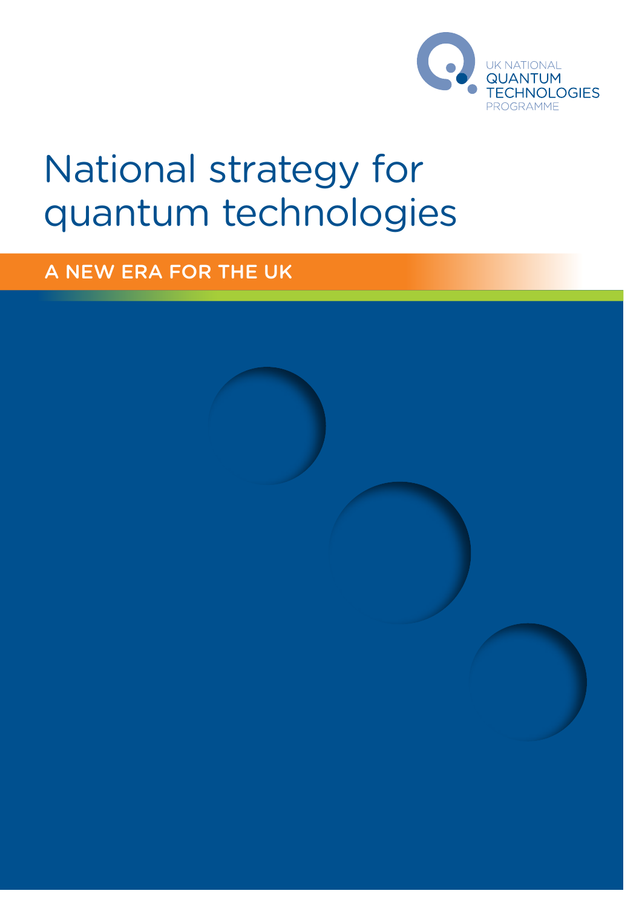

# National strategy for quantum technologies

A new era for the UK

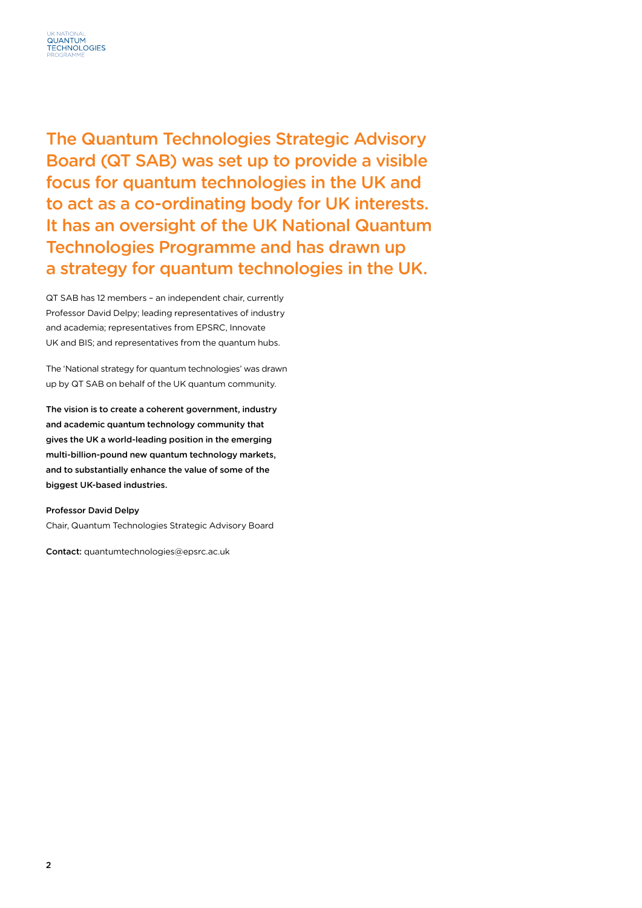

The Quantum Technologies Strategic Advisory Board (QT SAB) was set up to provide a visible focus for quantum technologies in the UK and to act as a co-ordinating body for UK interests. It has an oversight of the UK National Quantum Technologies Programme and has drawn up a strategy for quantum technologies in the UK.

QT SAB has 12 members – an independent chair, currently Professor David Delpy; leading representatives of industry and academia; representatives from EPSRC, Innovate UK and BIS; and representatives from the quantum hubs.

The 'National strategy for quantum technologies' was drawn up by QT SAB on behalf of the UK quantum community.

The vision is to create a coherent government, industry and academic quantum technology community that gives the UK a world-leading position in the emerging multi-billion-pound new quantum technology markets, and to substantially enhance the value of some of the biggest UK-based industries.

#### Professor David Delpy

Chair, Quantum Technologies Strategic Advisory Board

Contact: quantumtechnologies@epsrc.ac.uk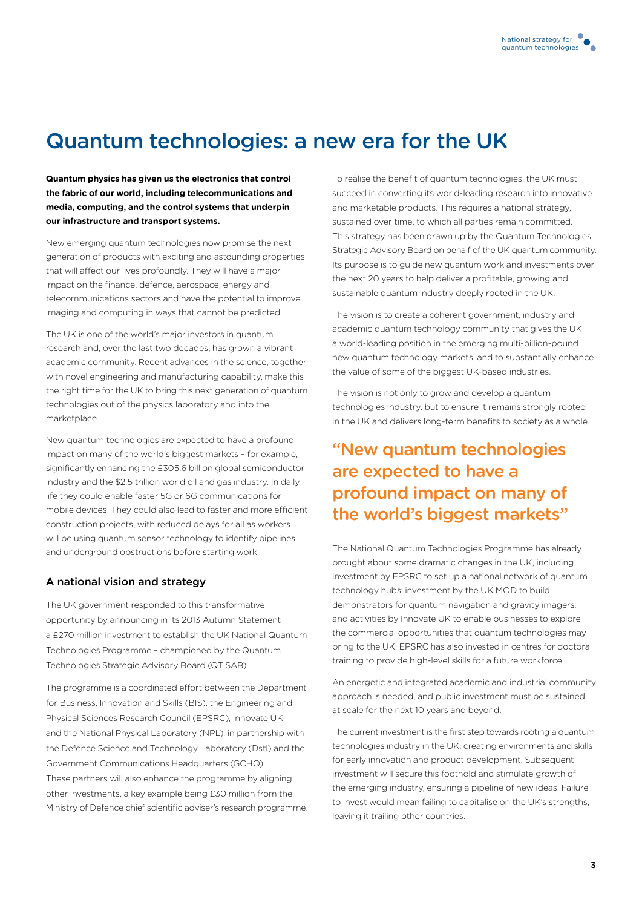# Quantum technologies: a new era for the UK

**Quantum physics has given us the electronics that control the fabric of our world, including telecommunications and media, computing, and the control systems that underpin our infrastructure and transport systems.**

New emerging quantum technologies now promise the next generation of products with exciting and astounding properties that will affect our lives profoundly. They will have a major impact on the finance, defence, aerospace, energy and telecommunications sectors and have the potential to improve imaging and computing in ways that cannot be predicted.

The UK is one of the world's major investors in quantum research and, over the last two decades, has grown a vibrant academic community. Recent advances in the science, together with novel engineering and manufacturing capability, make this the right time for the UK to bring this next generation of quantum technologies out of the physics laboratory and into the marketplace.

New quantum technologies are expected to have a profound impact on many of the world's biggest markets – for example, significantly enhancing the £305.6 billion global semiconductor industry and the \$2.5 trillion world oil and gas industry. In daily life they could enable faster 5G or 6G communications for mobile devices. They could also lead to faster and more efficient construction projects, with reduced delays for all as workers will be using quantum sensor technology to identify pipelines and underground obstructions before starting work.

#### A national vision and strategy

The UK government responded to this transformative opportunity by announcing in its 2013 Autumn Statement a £270 million investment to establish the UK National Quantum Technologies Programme – championed by the Quantum Technologies Strategic Advisory Board (QT SAB).

The programme is a coordinated effort between the Department for Business, Innovation and Skills (BIS), the Engineering and Physical Sciences Research Council (EPSRC), Innovate UK and the National Physical Laboratory (NPL), in partnership with the Defence Science and Technology Laboratory (Dstl) and the Government Communications Headquarters (GCHQ). These partners will also enhance the programme by aligning other investments, a key example being £30 million from the Ministry of Defence chief scientific adviser's research programme. To realise the benefit of quantum technologies, the UK must succeed in converting its world-leading research into innovative and marketable products. This requires a national strategy, sustained over time, to which all parties remain committed. This strategy has been drawn up by the Quantum Technologies Strategic Advisory Board on behalf of the UK quantum community. Its purpose is to guide new quantum work and investments over the next 20 years to help deliver a profitable, growing and sustainable quantum industry deeply rooted in the UK.

The vision is to create a coherent government, industry and academic quantum technology community that gives the UK a world-leading position in the emerging multi-billion-pound new quantum technology markets, and to substantially enhance the value of some of the biggest UK-based industries.

The vision is not only to grow and develop a quantum technologies industry, but to ensure it remains strongly rooted in the UK and delivers long-term benefits to society as a whole.

# "New quantum technologies are expected to have a profound impact on many of the world's biggest markets"

The National Quantum Technologies Programme has already brought about some dramatic changes in the UK, including investment by EPSRC to set up a national network of quantum technology hubs; investment by the UK MOD to build demonstrators for quantum navigation and gravity imagers; and activities by Innovate UK to enable businesses to explore the commercial opportunities that quantum technologies may bring to the UK. EPSRC has also invested in centres for doctoral training to provide high-level skills for a future workforce.

An energetic and integrated academic and industrial community approach is needed, and public investment must be sustained at scale for the next 10 years and beyond.

The current investment is the first step towards rooting a quantum technologies industry in the UK, creating environments and skills for early innovation and product development. Subsequent investment will secure this foothold and stimulate growth of the emerging industry, ensuring a pipeline of new ideas. Failure to invest would mean failing to capitalise on the UK's strengths, leaving it trailing other countries.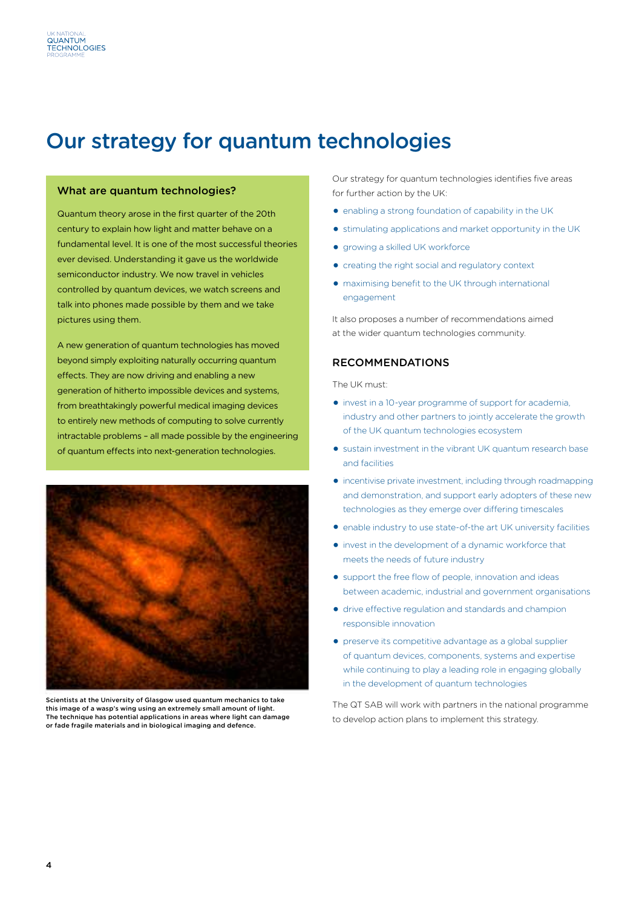# Our strategy for quantum technologies

#### What are quantum technologies?

Quantum theory arose in the first quarter of the 20th century to explain how light and matter behave on a fundamental level. It is one of the most successful theories ever devised. Understanding it gave us the worldwide semiconductor industry. We now travel in vehicles controlled by quantum devices, we watch screens and talk into phones made possible by them and we take pictures using them.

A new generation of quantum technologies has moved beyond simply exploiting naturally occurring quantum effects. They are now driving and enabling a new generation of hitherto impossible devices and systems, from breathtakingly powerful medical imaging devices to entirely new methods of computing to solve currently intractable problems – all made possible by the engineering of quantum effects into next-generation technologies.



Scientists at the University of Glasgow used quantum mechanics to take this image of a wasp's wing using an extremely small amount of light. The technique has potential applications in areas where light can damage or fade fragile materials and in biological imaging and defence.

Our strategy for quantum technologies identifies five areas for further action by the UK:

- $\bullet$  enabling a strong foundation of capability in the UK
- O stimulating applications and market opportunity in the UK
- **.** growing a skilled UK workforce
- O creating the right social and regulatory context
- O maximising benefit to the UK through international engagement

It also proposes a number of recommendations aimed at the wider quantum technologies community.

### Recommendations

The UK must:

- O invest in a 10-year programme of support for academia, industry and other partners to jointly accelerate the growth of the UK quantum technologies ecosystem
- O sustain investment in the vibrant UK quantum research base and facilities
- O incentivise private investment, including through roadmapping and demonstration, and support early adopters of these new technologies as they emerge over differing timescales
- O enable industry to use state-of-the art UK university facilities
- O invest in the development of a dynamic workforce that meets the needs of future industry
- O support the free flow of people, innovation and ideas between academic, industrial and government organisations
- O drive effective regulation and standards and champion responsible innovation
- O preserve its competitive advantage as a global supplier of quantum devices, components, systems and expertise while continuing to play a leading role in engaging globally in the development of quantum technologies

The QT SAB will work with partners in the national programme to develop action plans to implement this strategy.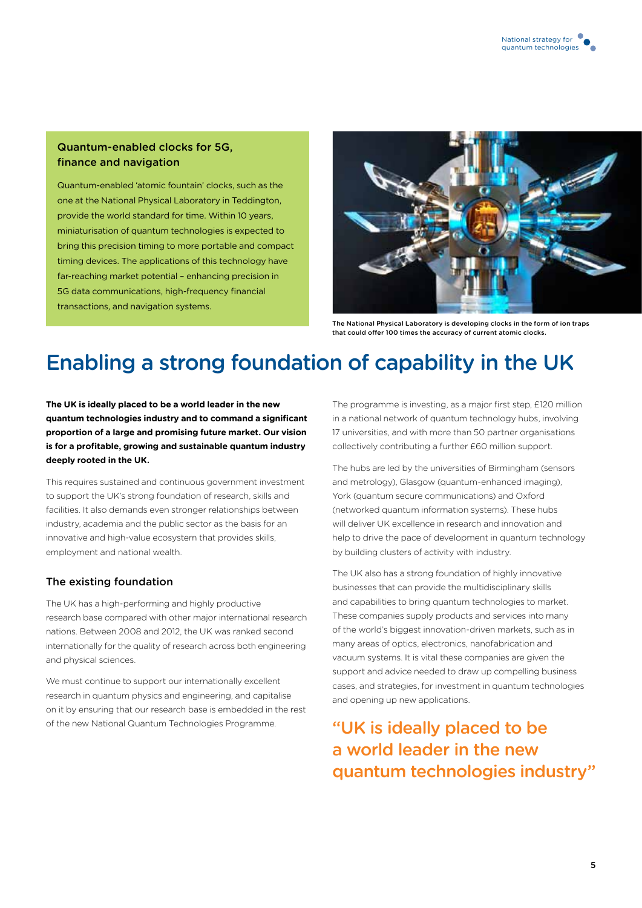# Quantum-enabled clocks for 5G, finance and navigation

Quantum-enabled 'atomic fountain' clocks, such as the one at the National Physical Laboratory in Teddington, provide the world standard for time. Within 10 years, miniaturisation of quantum technologies is expected to bring this precision timing to more portable and compact timing devices. The applications of this technology have far-reaching market potential – enhancing precision in 5G data communications, high-frequency financial transactions, and navigation systems.



The National Physical Laboratory is developing clocks in the form of ion traps that could offer 100 times the accuracy of current atomic clocks.

# Enabling a strong foundation of capability in the UK

**The UK is ideally placed to be a world leader in the new quantum technologies industry and to command a significant proportion of a large and promising future market. Our vision is for a profitable, growing and sustainable quantum industry deeply rooted in the UK.** 

This requires sustained and continuous government investment to support the UK's strong foundation of research, skills and facilities. It also demands even stronger relationships between industry, academia and the public sector as the basis for an innovative and high-value ecosystem that provides skills, employment and national wealth.

# The existing foundation

The UK has a high-performing and highly productive research base compared with other major international research nations. Between 2008 and 2012, the UK was ranked second internationally for the quality of research across both engineering and physical sciences.

We must continue to support our internationally excellent research in quantum physics and engineering, and capitalise on it by ensuring that our research base is embedded in the rest of the new National Quantum Technologies Programme.

The programme is investing, as a major first step, £120 million in a national network of quantum technology hubs, involving 17 universities, and with more than 50 partner organisations collectively contributing a further £60 million support.

The hubs are led by the universities of Birmingham (sensors and metrology), Glasgow (quantum-enhanced imaging), York (quantum secure communications) and Oxford (networked quantum information systems). These hubs will deliver UK excellence in research and innovation and help to drive the pace of development in quantum technology by building clusters of activity with industry.

The UK also has a strong foundation of highly innovative businesses that can provide the multidisciplinary skills and capabilities to bring quantum technologies to market. These companies supply products and services into many of the world's biggest innovation-driven markets, such as in many areas of optics, electronics, nanofabrication and vacuum systems. It is vital these companies are given the support and advice needed to draw up compelling business cases, and strategies, for investment in quantum technologies and opening up new applications.

"UK is ideally placed to be a world leader in the new quantum technologies industry"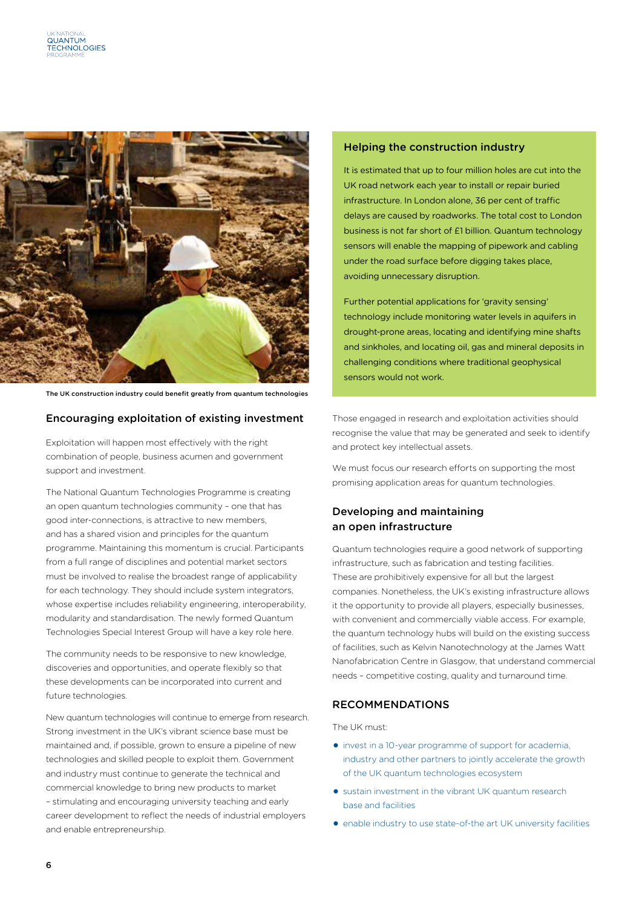

The UK construction industry could benefit greatly from quantum technologies

#### Encouraging exploitation of existing investment

Exploitation will happen most effectively with the right combination of people, business acumen and government support and investment.

The National Quantum Technologies Programme is creating an open quantum technologies community – one that has good inter-connections, is attractive to new members, and has a shared vision and principles for the quantum programme. Maintaining this momentum is crucial. Participants from a full range of disciplines and potential market sectors must be involved to realise the broadest range of applicability for each technology. They should include system integrators, whose expertise includes reliability engineering, interoperability, modularity and standardisation. The newly formed Quantum Technologies Special Interest Group will have a key role here.

The community needs to be responsive to new knowledge, discoveries and opportunities, and operate flexibly so that these developments can be incorporated into current and future technologies.

New quantum technologies will continue to emerge from research. Strong investment in the UK's vibrant science base must be maintained and, if possible, grown to ensure a pipeline of new technologies and skilled people to exploit them. Government and industry must continue to generate the technical and commercial knowledge to bring new products to market – stimulating and encouraging university teaching and early career development to reflect the needs of industrial employers and enable entrepreneurship.

#### Helping the construction industry

It is estimated that up to four million holes are cut into the UK road network each year to install or repair buried infrastructure. In London alone, 36 per cent of traffic delays are caused by roadworks. The total cost to London business is not far short of £1 billion. Quantum technology sensors will enable the mapping of pipework and cabling under the road surface before digging takes place, avoiding unnecessary disruption.

Further potential applications for 'gravity sensing' technology include monitoring water levels in aquifers in drought-prone areas, locating and identifying mine shafts and sinkholes, and locating oil, gas and mineral deposits in challenging conditions where traditional geophysical sensors would not work.

Those engaged in research and exploitation activities should recognise the value that may be generated and seek to identify and protect key intellectual assets.

We must focus our research efforts on supporting the most promising application areas for quantum technologies.

# Developing and maintaining an open infrastructure

Quantum technologies require a good network of supporting infrastructure, such as fabrication and testing facilities. These are prohibitively expensive for all but the largest companies. Nonetheless, the UK's existing infrastructure allows it the opportunity to provide all players, especially businesses, with convenient and commercially viable access. For example, the quantum technology hubs will build on the existing success of facilities, such as Kelvin Nanotechnology at the James Watt Nanofabrication Centre in Glasgow, that understand commercial needs – competitive costing, quality and turnaround time.

### Recommendations

The UK must:

- O invest in a 10-year programme of support for academia, industry and other partners to jointly accelerate the growth of the UK quantum technologies ecosystem
- O sustain investment in the vibrant UK quantum research base and facilities
- O enable industry to use state-of-the art UK university facilities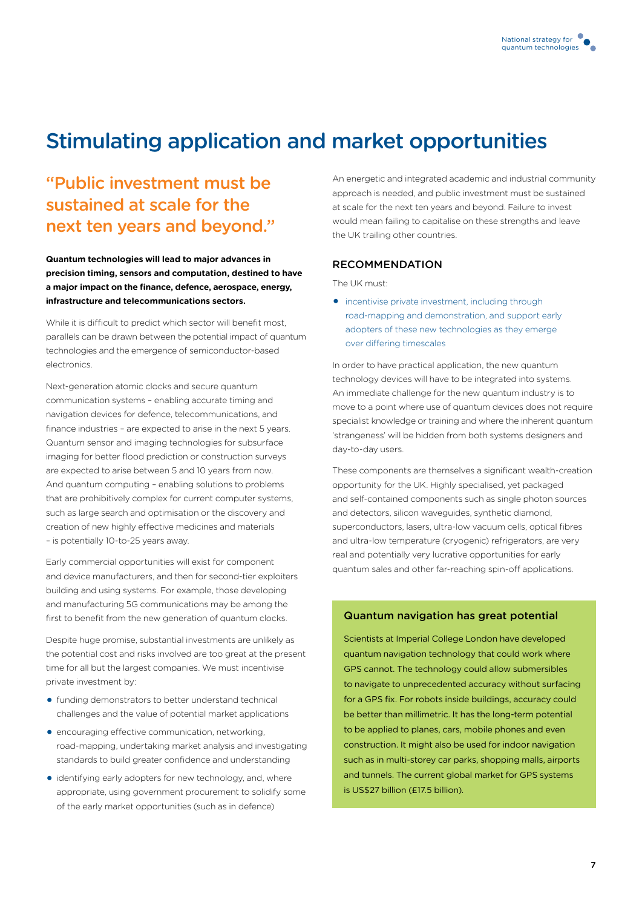# Stimulating application and market opportunities

# "Public investment must be sustained at scale for the next ten years and beyond."

**Quantum technologies will lead to major advances in precision timing, sensors and computation, destined to have a major impact on the finance, defence, aerospace, energy, infrastructure and telecommunications sectors.** 

While it is difficult to predict which sector will benefit most, parallels can be drawn between the potential impact of quantum technologies and the emergence of semiconductor-based electronics.

Next-generation atomic clocks and secure quantum communication systems – enabling accurate timing and navigation devices for defence, telecommunications, and finance industries – are expected to arise in the next 5 years. Quantum sensor and imaging technologies for subsurface imaging for better flood prediction or construction surveys are expected to arise between 5 and 10 years from now. And quantum computing – enabling solutions to problems that are prohibitively complex for current computer systems, such as large search and optimisation or the discovery and creation of new highly effective medicines and materials – is potentially 10-to-25 years away.

Early commercial opportunities will exist for component and device manufacturers, and then for second-tier exploiters building and using systems. For example, those developing and manufacturing 5G communications may be among the first to benefit from the new generation of quantum clocks.

Despite huge promise, substantial investments are unlikely as the potential cost and risks involved are too great at the present time for all but the largest companies. We must incentivise private investment by:

- $\bullet$  funding demonstrators to better understand technical challenges and the value of potential market applications
- $\bullet$  encouraging effective communication, networking, road-mapping, undertaking market analysis and investigating standards to build greater confidence and understanding
- O identifying early adopters for new technology, and, where appropriate, using government procurement to solidify some of the early market opportunities (such as in defence)

An energetic and integrated academic and industrial community approach is needed, and public investment must be sustained at scale for the next ten years and beyond. Failure to invest would mean failing to capitalise on these strengths and leave the UK trailing other countries.

### Recommendation

The UK must:

**•** incentivise private investment, including through road-mapping and demonstration, and support early adopters of these new technologies as they emerge over differing timescales

In order to have practical application, the new quantum technology devices will have to be integrated into systems. An immediate challenge for the new quantum industry is to move to a point where use of quantum devices does not require specialist knowledge or training and where the inherent quantum 'strangeness' will be hidden from both systems designers and day-to-day users.

These components are themselves a significant wealth-creation opportunity for the UK. Highly specialised, yet packaged and self-contained components such as single photon sources and detectors, silicon waveguides, synthetic diamond, superconductors, lasers, ultra-low vacuum cells, optical fibres and ultra-low temperature (cryogenic) refrigerators, are very real and potentially very lucrative opportunities for early quantum sales and other far-reaching spin-off applications.

#### Quantum navigation has great potential

Scientists at Imperial College London have developed quantum navigation technology that could work where GPS cannot. The technology could allow submersibles to navigate to unprecedented accuracy without surfacing for a GPS fix. For robots inside buildings, accuracy could be better than millimetric. It has the long-term potential to be applied to planes, cars, mobile phones and even construction. It might also be used for indoor navigation such as in multi-storey car parks, shopping malls, airports and tunnels. The current global market for GPS systems is US\$27 billion (£17.5 billion).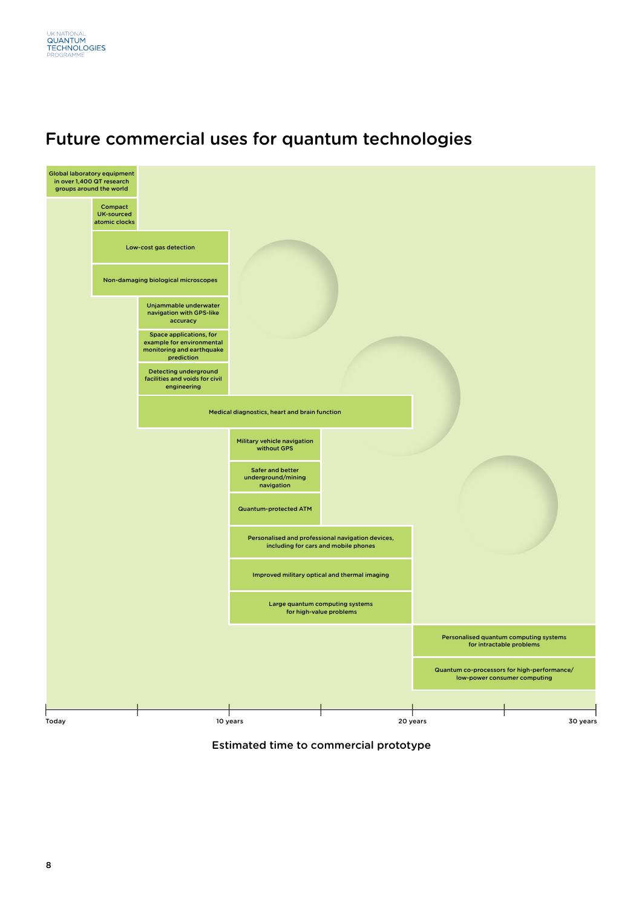





Estimated time to commercial prototype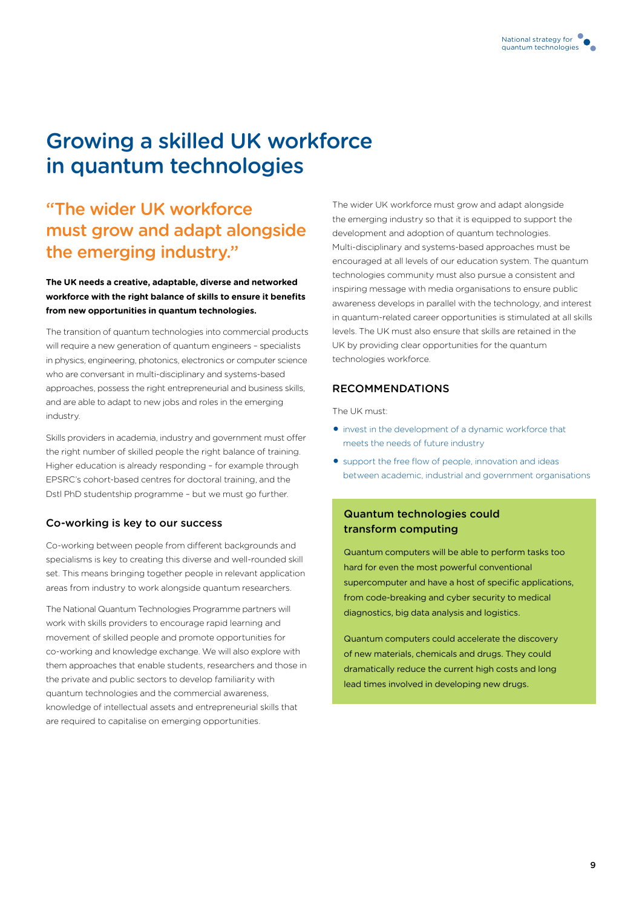# Growing a skilled UK workforce in quantum technologies

# "The wider UK workforce must grow and adapt alongside the emerging industry."

## **The UK needs a creative, adaptable, diverse and networked workforce with the right balance of skills to ensure it benefits from new opportunities in quantum technologies.**

The transition of quantum technologies into commercial products will require a new generation of quantum engineers – specialists in physics, engineering, photonics, electronics or computer science who are conversant in multi-disciplinary and systems-based approaches, possess the right entrepreneurial and business skills, and are able to adapt to new jobs and roles in the emerging industry.

Skills providers in academia, industry and government must offer the right number of skilled people the right balance of training. Higher education is already responding – for example through EPSRC's cohort-based centres for doctoral training, and the Dstl PhD studentship programme – but we must go further.

## Co-working is key to our success

Co-working between people from different backgrounds and specialisms is key to creating this diverse and well-rounded skill set. This means bringing together people in relevant application areas from industry to work alongside quantum researchers.

The National Quantum Technologies Programme partners will work with skills providers to encourage rapid learning and movement of skilled people and promote opportunities for co-working and knowledge exchange. We will also explore with them approaches that enable students, researchers and those in the private and public sectors to develop familiarity with quantum technologies and the commercial awareness, knowledge of intellectual assets and entrepreneurial skills that are required to capitalise on emerging opportunities.

The wider UK workforce must grow and adapt alongside the emerging industry so that it is equipped to support the development and adoption of quantum technologies. Multi-disciplinary and systems-based approaches must be encouraged at all levels of our education system. The quantum technologies community must also pursue a consistent and inspiring message with media organisations to ensure public awareness develops in parallel with the technology, and interest in quantum-related career opportunities is stimulated at all skills levels. The UK must also ensure that skills are retained in the UK by providing clear opportunities for the quantum technologies workforce.

## Recommendations

The UK must:

- O invest in the development of a dynamic workforce that meets the needs of future industry
- O support the free flow of people, innovation and ideas between academic, industrial and government organisations

# Quantum technologies could transform computing

Quantum computers will be able to perform tasks too hard for even the most powerful conventional supercomputer and have a host of specific applications, from code-breaking and cyber security to medical diagnostics, big data analysis and logistics.

Quantum computers could accelerate the discovery of new materials, chemicals and drugs. They could dramatically reduce the current high costs and long lead times involved in developing new drugs.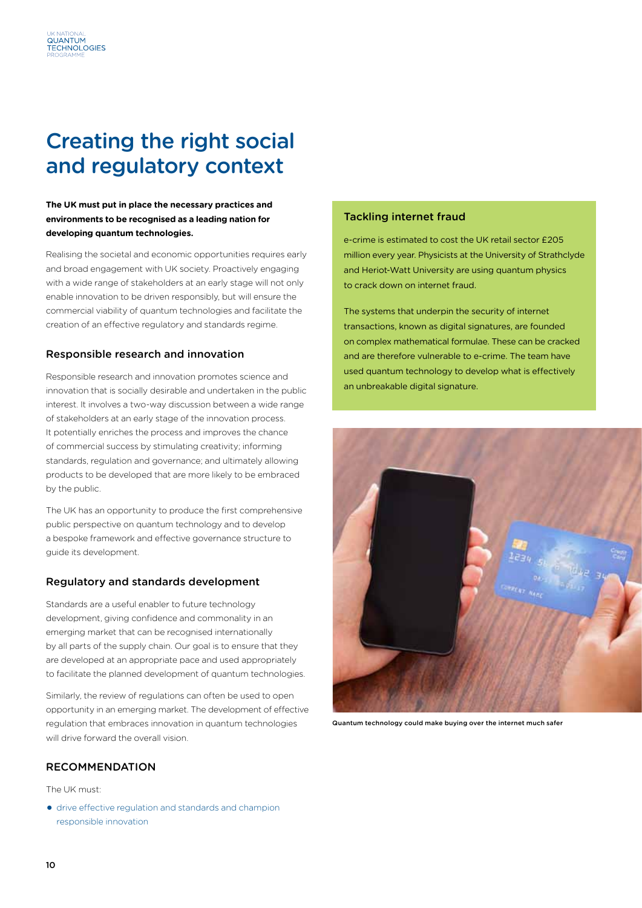# Creating the right social and regulatory context

QUANTUM ECHNOLOGIES

### **The UK must put in place the necessary practices and environments to be recognised as a leading nation for developing quantum technologies.**

Realising the societal and economic opportunities requires early and broad engagement with UK society. Proactively engaging with a wide range of stakeholders at an early stage will not only enable innovation to be driven responsibly, but will ensure the commercial viability of quantum technologies and facilitate the creation of an effective regulatory and standards regime.

## Responsible research and innovation

Responsible research and innovation promotes science and innovation that is socially desirable and undertaken in the public interest. It involves a two-way discussion between a wide range of stakeholders at an early stage of the innovation process. It potentially enriches the process and improves the chance of commercial success by stimulating creativity; informing standards, regulation and governance; and ultimately allowing products to be developed that are more likely to be embraced by the public.

The UK has an opportunity to produce the first comprehensive public perspective on quantum technology and to develop a bespoke framework and effective governance structure to guide its development.

## Regulatory and standards development

Standards are a useful enabler to future technology development, giving confidence and commonality in an emerging market that can be recognised internationally by all parts of the supply chain. Our goal is to ensure that they are developed at an appropriate pace and used appropriately to facilitate the planned development of quantum technologies.

Similarly, the review of regulations can often be used to open opportunity in an emerging market. The development of effective regulation that embraces innovation in quantum technologies will drive forward the overall vision.

## Recommendation

The UK must:

O drive effective regulation and standards and champion responsible innovation

#### Tackling internet fraud

e-crime is estimated to cost the UK retail sector £205 million every year. Physicists at the University of Strathclyde and Heriot-Watt University are using quantum physics to crack down on internet fraud.

The systems that underpin the security of internet transactions, known as digital signatures, are founded on complex mathematical formulae. These can be cracked and are therefore vulnerable to e-crime. The team have used quantum technology to develop what is effectively an unbreakable digital signature.



Quantum technology could make buying over the internet much safer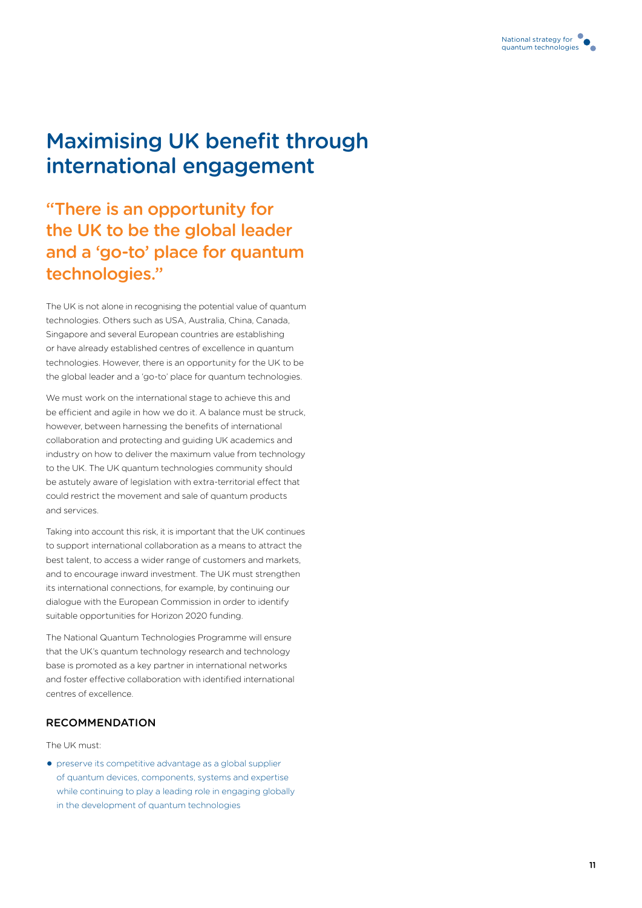

# Maximising UK benefit through international engagement

"There is an opportunity for the UK to be the global leader and a 'go-to' place for quantum technologies."

The UK is not alone in recognising the potential value of quantum technologies. Others such as USA, Australia, China, Canada, Singapore and several European countries are establishing or have already established centres of excellence in quantum technologies. However, there is an opportunity for the UK to be the global leader and a 'go-to' place for quantum technologies.

We must work on the international stage to achieve this and be efficient and agile in how we do it. A balance must be struck, however, between harnessing the benefits of international collaboration and protecting and guiding UK academics and industry on how to deliver the maximum value from technology to the UK. The UK quantum technologies community should be astutely aware of legislation with extra-territorial effect that could restrict the movement and sale of quantum products and services.

Taking into account this risk, it is important that the UK continues to support international collaboration as a means to attract the best talent, to access a wider range of customers and markets, and to encourage inward investment. The UK must strengthen its international connections, for example, by continuing our dialogue with the European Commission in order to identify suitable opportunities for Horizon 2020 funding.

The National Quantum Technologies Programme will ensure that the UK's quantum technology research and technology base is promoted as a key partner in international networks and foster effective collaboration with identified international centres of excellence.

## **RECOMMENDATION**

#### The UK must:

O preserve its competitive advantage as a global supplier of quantum devices, components, systems and expertise while continuing to play a leading role in engaging globally in the development of quantum technologies